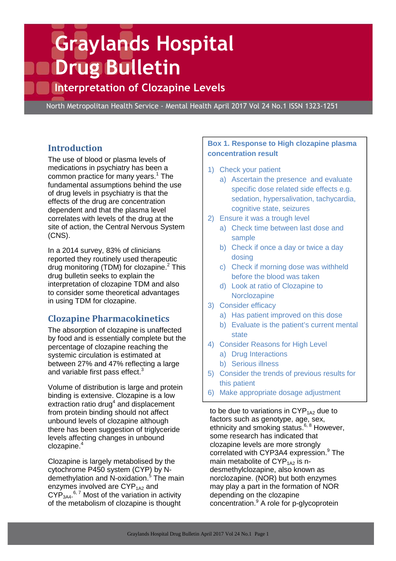# **Graylands Hospital Drug Bulletin**

# **Interpretation of Clozapine Levels**

North Metropolitan Health Service - Mental Health April 2017 Vol 24 No.1 ISSN 1323-1251

# **Introduction**

The use of blood or plasma levels of medications in psychiatry has been a common practice for many years.<sup>1</sup> The fundamental assumptions behind the use of drug levels in psychiatry is that the effects of the drug are concentration dependent and that the plasma level correlates with levels of the drug at the site of action, the Central Nervous System (CNS).

In a 2014 survey, 83% of clinicians reported they routinely used therapeutic drug monitoring (TDM) for clozapine.<sup>2</sup> This drug bulletin seeks to explain the interpretation of clozapine TDM and also to consider some theoretical advantages in using TDM for clozapine.

# **Clozapine Pharmacokinetics**

The absorption of clozapine is unaffected by food and is essentially complete but the percentage of clozapine reaching the systemic circulation is estimated at between 27% and 47% reflecting a large and variable first pass effect.<sup>3</sup>

Volume of distribution is large and protein binding is extensive. Clozapine is a low extraction ratio drug<sup>4</sup> and displacement from protein binding should not affect unbound levels of clozapine although there has been suggestion of triglyceride levels affecting changes in unbound clozapine.<sup>4</sup>

Clozapine is largely metabolised by the cytochrome P450 system (CYP) by Ndemethylation and N-oxidation.<sup>5</sup> The main enzymes involved are  $CYP<sub>1A2</sub>$  and  $\text{CYP}_{3\text{A4}}$ ,  $^{6,7}$  Most of the variation in activity of the metabolism of clozapine is thought

#### **Box 1. Response to High clozapine plasma concentration result**

- 1) Check your patient
	- a) Ascertain the presence and evaluate specific dose related side effects e.g. sedation, hypersalivation, tachycardia, cognitive state, seizures
- 2) Ensure it was a trough level
	- a) Check time between last dose and sample
	- b) Check if once a day or twice a day dosing
	- c) Check if morning dose was withheld before the blood was taken
	- d) Look at ratio of Clozapine to **Norclozapine**
- 3) Consider efficacy
	- a) Has patient improved on this dose
	- b) Evaluate is the patient's current mental state
- 4) Consider Reasons for High Level
	- a) Drug Interactions
	- b) Serious illness
- 5) Consider the trends of previous results for this patient
- 6) Make appropriate dosage adjustment

to be due to variations in  $\text{CYP}_{1\text{A2}}$  due to factors such as genotype, age, sex, ethnicity and smoking status.<sup>6, 8</sup> However, some research has indicated that clozapine levels are more strongly correlated with CYP3A4 expression.<sup>9</sup> The main metabolite of  $CYP<sub>1A2</sub>$  is ndesmethylclozapine, also known as norclozapine. (NOR) but both enzymes may play a part in the formation of NOR depending on the clozapine concentration.<sup>9</sup> A role for p-glycoprotein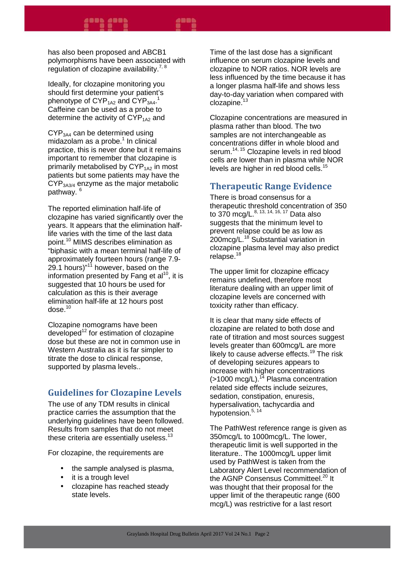has also been proposed and ABCB1 polymorphisms have been associated with regulation of clozapine availability. $7, 8$ 

Ideally, for clozapine monitoring you should first determine your patient's phenotype of  $\text{CYP}_{\text{1A2}}$  and  $\text{CYP}_{\text{3A4}}$ .<sup>1</sup> Caffeine can be used as a probe to determine the activity of  $\text{CYP}_{142}$  and

CYP3A4 can be determined using midazolam as a probe.<sup>1</sup> In clinical practice, this is never done but it remains important to remember that clozapine is primarily metabolised by  $CYP<sub>1A2</sub>$  in most patients but some patients may have the CYP3A3/4 enzyme as the major metabolic pathway. <sup>6</sup>

The reported elimination half-life of clozapine has varied significantly over the years. It appears that the elimination halflife varies with the time of the last data point.<sup>10</sup> MIMS describes elimination as "biphasic with a mean terminal half-life of approximately fourteen hours (range 7.9- 29.1 hours)"<sup>11</sup> however, based on the information presented by Fang et  $al^{10}$ , it is suggested that 10 hours be used for calculation as this is their average elimination half-life at 12 hours post  $dose.<sup>10</sup>$ 

Clozapine nomograms have been developed<sup>12</sup> for estimation of clozapine dose but these are not in common use in Western Australia as it is far simpler to titrate the dose to clinical response, supported by plasma levels..

# **Guidelines for Clozapine Levels**

The use of any TDM results in clinical practice carries the assumption that the underlying guidelines have been followed. Results from samples that do not meet these criteria are essentially useless.<sup>13</sup>

For clozapine, the requirements are

- the sample analysed is plasma,
- it is a trough level
- clozapine has reached steady state levels.

Time of the last dose has a significant influence on serum clozapine levels and clozapine to NOR ratios. NOR levels are less influenced by the time because it has a longer plasma half-life and shows less day-to-day variation when compared with clozapine.<sup>13</sup>

Clozapine concentrations are measured in plasma rather than blood. The two samples are not interchangeable as concentrations differ in whole blood and serum.<sup>14, 15</sup> Clozapine levels in red blood cells are lower than in plasma while NOR levels are higher in red blood cells.<sup>15</sup>

# **Therapeutic Range Evidence**

There is broad consensus for a therapeutic threshold concentration of 350 to 370 mcg/L. $^{8, 13, 14, 16, 17}$  Data also suggests that the minimum level to prevent relapse could be as low as 200mcg/L.<sup>18</sup> Substantial variation in clozapine plasma level may also predict relapse.<sup>18</sup>

The upper limit for clozapine efficacy remains undefined, therefore most literature dealing with an upper limit of clozapine levels are concerned with toxicity rather than efficacy.

It is clear that many side effects of clozapine are related to both dose and rate of titration and most sources suggest levels greater than 600mcg/L are more likely to cause adverse effects.<sup>19</sup> The risk of developing seizures appears to increase with higher concentrations  $($ >1000 mcg/L).<sup>14</sup> Plasma concentration related side effects include seizures, sedation, constipation, enuresis, hypersalivation, tachycardia and hypotension.<sup>5, 14</sup>

The PathWest reference range is given as 350mcg/L to 1000mcg/L. The lower, therapeutic limit is well supported in the literature.. The 1000mcg/L upper limit used by PathWest is taken from the Laboratory Alert Level recommendation of the AGNP Consensus Committeel.<sup>20</sup> It was thought that their proposal for the upper limit of the therapeutic range (600 mcg/L) was restrictive for a last resort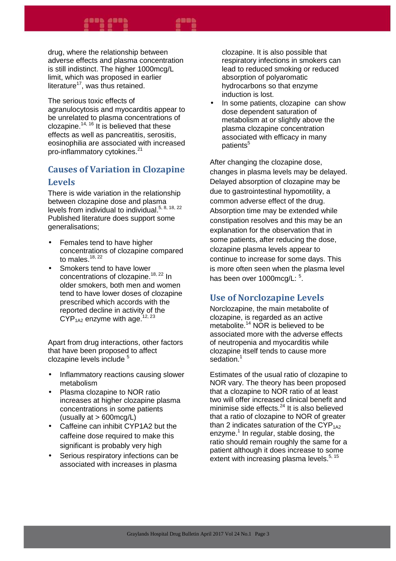#### 4865 4865

emme

The serious toxic effects of agranulocytosis and myocarditis appear to be unrelated to plasma concentrations of clozapine.<sup>14, 16</sup> It is believed that these effects as well as pancreatitis, serositis, eosinophilia are associated with increased pro-inflammatory cytokines.<sup>21</sup>

# **Causes of Variation in Clozapine Levels**

There is wide variation in the relationship between clozapine dose and plasma levels from individual to individual.5, 8, 18, 22 Published literature does support some generalisations;

- Females tend to have higher concentrations of clozapine compared to males. $^{18, 22}$
- Smokers tend to have lower concentrations of clozapine.<sup>18, 22</sup> In older smokers, both men and women tend to have lower doses of clozapine prescribed which accords with the reported decline in activity of the  $CYP_{142}$  enzyme with age.<sup>12, 23</sup>

Apart from drug interactions, other factors that have been proposed to affect clozapine levels include <sup>5</sup>

- Inflammatory reactions causing slower metabolism
- Plasma clozapine to NOR ratio increases at higher clozapine plasma concentrations in some patients (usually at > 600mcg/L)
- Caffeine can inhibit CYP1A2 but the caffeine dose required to make this significant is probably very high
- Serious respiratory infections can be associated with increases in plasma

clozapine. It is also possible that respiratory infections in smokers can lead to reduced smoking or reduced absorption of polyaromatic hydrocarbons so that enzyme induction is lost.

In some patients, clozapine can show dose dependent saturation of metabolism at or slightly above the plasma clozapine concentration associated with efficacy in many patients<sup>5</sup>

After changing the clozapine dose, changes in plasma levels may be delayed. Delayed absorption of clozapine may be due to gastrointestinal hypomotility, a common adverse effect of the drug. Absorption time may be extended while constipation resolves and this may be an explanation for the observation that in some patients, after reducing the dose, clozapine plasma levels appear to continue to increase for some days. This is more often seen when the plasma level has been over 1000mcg/L: <sup>5</sup>.

# **Use of Norclozapine Levels**

Norclozapine, the main metabolite of clozapine, is regarded as an active metabolite.<sup>14</sup> NOR is believed to be associated more with the adverse effects of neutropenia and myocarditis while clozapine itself tends to cause more sedation.<sup>1</sup>

Estimates of the usual ratio of clozapine to NOR vary. The theory has been proposed that a clozapine to NOR ratio of at least two will offer increased clinical benefit and minimise side effects.<sup>24</sup> It is also believed that a ratio of clozapine to NOR of greater than 2 indicates saturation of the CYP $_{142}$ enzyme.<sup>1</sup> In regular, stable dosing, the ratio should remain roughly the same for a patient although it does increase to some extent with increasing plasma levels. $5, 15$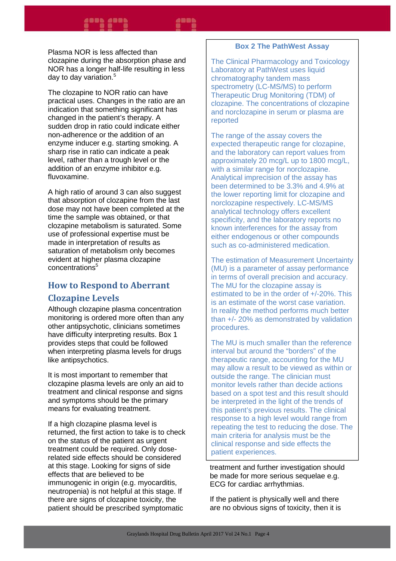Plasma NOR is less affected than clozapine during the absorption phase and NOR has a longer half-life resulting in less day to day variation.<sup>5</sup>

The clozapine to NOR ratio can have practical uses. Changes in the ratio are an indication that something significant has changed in the patient's therapy. A sudden drop in ratio could indicate either non-adherence or the addition of an enzyme inducer e.g. starting smoking. A sharp rise in ratio can indicate a peak level, rather than a trough level or the addition of an enzyme inhibitor e.g. fluvoxamine.

A high ratio of around 3 can also suggest that absorption of clozapine from the last dose may not have been completed at the time the sample was obtained, or that clozapine metabolism is saturated. Some use of professional expertise must be made in interpretation of results as saturation of metabolism only becomes evident at higher plasma clozapine concentrations<sup>5</sup>

# **How to Respond to Aberrant Clozapine Levels**

Although clozapine plasma concentration monitoring is ordered more often than any other antipsychotic, clinicians sometimes have difficulty interpreting results. Box 1 provides steps that could be followed when interpreting plasma levels for drugs like antipsychotics.

It is most important to remember that clozapine plasma levels are only an aid to treatment and clinical response and signs and symptoms should be the primary means for evaluating treatment.

If a high clozapine plasma level is returned, the first action to take is to check on the status of the patient as urgent treatment could be required. Only doserelated side effects should be considered at this stage. Looking for signs of side effects that are believed to be immunogenic in origin (e.g. myocarditis, neutropenia) is not helpful at this stage. If there are signs of clozapine toxicity, the patient should be prescribed symptomatic

#### **Box 2 The PathWest Assay**

The Clinical Pharmacology and Toxicology Laboratory at PathWest uses liquid chromatography tandem mass spectrometry (LC-MS/MS) to perform Therapeutic Drug Monitoring (TDM) of clozapine. The concentrations of clozapine and norclozapine in serum or plasma are reported

The range of the assay covers the expected therapeutic range for clozapine, and the laboratory can report values from approximately 20 mcg/L up to 1800 mcg/L, with a similar range for norclozapine. Analytical imprecision of the assay has been determined to be 3.3% and 4.9% at the lower reporting limit for clozapine and norclozapine respectively. LC-MS/MS analytical technology offers excellent specificity, and the laboratory reports no known interferences for the assay from either endogenous or other compounds such as co-administered medication.

The estimation of Measurement Uncertainty (MU) is a parameter of assay performance in terms of overall precision and accuracy. The MU for the clozapine assay is estimated to be in the order of +/-20%. This is an estimate of the worst case variation. In reality the method performs much better than +/- 20% as demonstrated by validation procedures.

The MU is much smaller than the reference interval but around the "borders" of the therapeutic range, accounting for the MU may allow a result to be viewed as within or outside the range. The clinician must monitor levels rather than decide actions based on a spot test and this result should be interpreted in the light of the trends of this patient's previous results. The clinical response to a high level would range from repeating the test to reducing the dose. The main criteria for analysis must be the clinical response and side effects the patient experiences.

treatment and further investigation should be made for more serious sequelae e.g. ECG for cardiac arrhythmias.

If the patient is physically well and there are no obvious signs of toxicity, then it is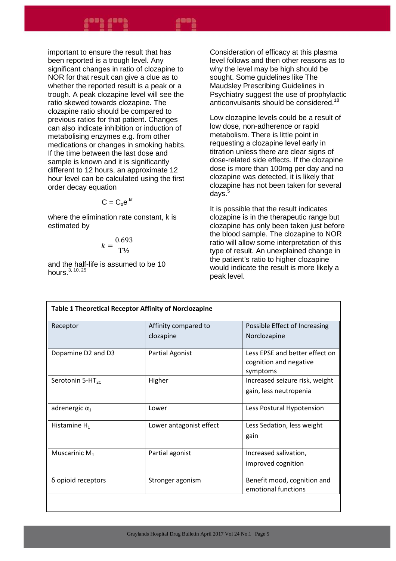important to ensure the result that has been reported is a trough level. Any significant changes in ratio of clozapine to NOR for that result can give a clue as to whether the reported result is a peak or a trough. A peak clozapine level will see the ratio skewed towards clozapine. The clozapine ratio should be compared to previous ratios for that patient. Changes can also indicate inhibition or induction of metabolising enzymes e.g. from other medications or changes in smoking habits. If the time between the last dose and sample is known and it is significantly different to 12 hours, an approximate 12 hour level can be calculated using the first order decay equation

$$
C=C_{o}e^{-kt}
$$

where the elimination rate constant, k is estimated by

$$
k = \frac{0.693}{\mathrm{T\,}_{2}}
$$

and the half-life is assumed to be 10 hours.  $3, 10, 25$ 

Consideration of efficacy at this plasma level follows and then other reasons as to why the level may be high should be sought. Some guidelines like The Maudsley Prescribing Guidelines in Psychiatry suggest the use of prophylactic anticonvulsants should be considered.<sup>18</sup>

Low clozapine levels could be a result of low dose, non-adherence or rapid metabolism. There is little point in requesting a clozapine level early in titration unless there are clear signs of dose-related side effects. If the clozapine dose is more than 100mg per day and no clozapine was detected, it is likely that clozapine has not been taken for several days. $5$ 

It is possible that the result indicates clozapine is in the therapeutic range but clozapine has only been taken just before the blood sample. The clozapine to NOR ratio will allow some interpretation of this type of result. An unexplained change in the patient's ratio to higher clozapine would indicate the result is more likely a peak level.

| <b>Table 1 Theoretical Receptor Affinity of Norclozapine</b> |                         |                                                                      |
|--------------------------------------------------------------|-------------------------|----------------------------------------------------------------------|
| Receptor                                                     | Affinity compared to    | Possible Effect of Increasing                                        |
|                                                              | clozapine               | Norclozapine                                                         |
| Dopamine D2 and D3                                           | <b>Partial Agonist</b>  | Less FPSF and better effect on<br>cognition and negative<br>symptoms |
| Serotonin 5-HT <sub>2C</sub>                                 | Higher                  | Increased seizure risk, weight                                       |
|                                                              |                         | gain, less neutropenia                                               |
| adrenergic $\alpha_1$                                        | Lower                   | Less Postural Hypotension                                            |
| Histamine $H_1$                                              | Lower antagonist effect | Less Sedation, less weight                                           |
|                                                              |                         | gain                                                                 |
| Muscarinic $M_1$                                             | Partial agonist         | Increased salivation,                                                |
|                                                              |                         | improved cognition                                                   |
| δ opioid receptors                                           | Stronger agonism        | Benefit mood, cognition and                                          |
|                                                              |                         | emotional functions                                                  |
|                                                              |                         |                                                                      |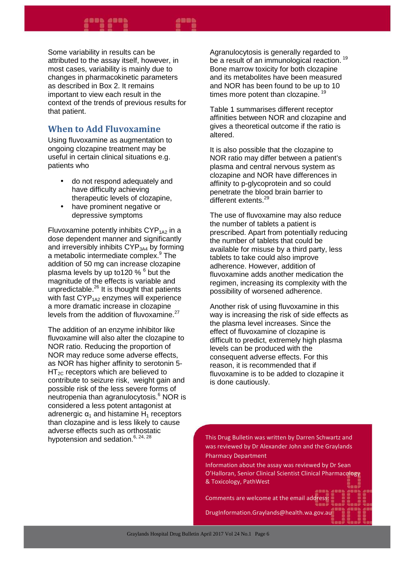Some variability in results can be attributed to the assay itself, however, in most cases, variability is mainly due to changes in pharmacokinetic parameters as described in Box 2. It remains important to view each result in the context of the trends of previous results for that patient.

#### **When to Add Fluvoxamine**

Using fluvoxamine as augmentation to ongoing clozapine treatment may be useful in certain clinical situations e.g. patients who

- do not respond adequately and have difficulty achieving therapeutic levels of clozapine,
- have prominent negative or depressive symptoms

Fluvoxamine potently inhibits  $CYP<sub>1A2</sub>$  in a dose dependent manner and significantly and irreversibly inhibits  $CYP<sub>3A4</sub>$  by forming a metabolic intermediate complex.<sup>9</sup> The addition of 50 mg can increase clozapine plasma levels by up to120 % <sup>6</sup> but the magnitude of the effects is variable and unpredictable.<sup>26</sup> It is thought that patients with fast  $CYP<sub>1A2</sub>$  enzymes will experience a more dramatic increase in clozapine levels from the addition of fluvoxamine.<sup>27</sup>

The addition of an enzyme inhibitor like fluvoxamine will also alter the clozapine to NOR ratio. Reducing the proportion of NOR may reduce some adverse effects, as NOR has higher affinity to serotonin 5-  $HT_{2C}$  receptors which are believed to contribute to seizure risk, weight gain and possible risk of the less severe forms of .<br>neutropenia than agranulocytosis.<sup>6</sup> NOR is considered a less potent antagonist at adrenergic  $\alpha_1$  and histamine H<sub>1</sub> receptors than clozapine and is less likely to cause adverse effects such as orthostatic hypotension and sedation.<sup>6, 24, 28</sup>

Agranulocytosis is generally regarded to be a result of an immunological reaction.<sup>19</sup> Bone marrow toxicity for both clozapine and its metabolites have been measured and NOR has been found to be up to 10 times more potent than clozapine.  $19$ 

Table 1 summarises different receptor affinities between NOR and clozapine and gives a theoretical outcome if the ratio is altered.

It is also possible that the clozapine to NOR ratio may differ between a patient's plasma and central nervous system as clozapine and NOR have differences in affinity to p-glycoprotein and so could penetrate the blood brain barrier to different extents.<sup>29</sup>

The use of fluvoxamine may also reduce the number of tablets a patient is prescribed. Apart from potentially reducing the number of tablets that could be available for misuse by a third party, less tablets to take could also improve adherence. However, addition of fluvoxamine adds another medication the regimen, increasing its complexity with the possibility of worsened adherence.

Another risk of using fluvoxamine in this way is increasing the risk of side effects as the plasma level increases. Since the effect of fluvoxamine of clozapine is difficult to predict, extremely high plasma levels can be produced with the consequent adverse effects. For this reason, it is recommended that if fluvoxamine is to be added to clozapine it is done cautiously.

This Drug Bulletin was written by Darren Schwartz and was reviewed by Dr Alexander John and the Graylands Pharmacy Department

Information about the assay was reviewed by Dr Sean O'Halloran, Senior Clinical Scientist Clinical Pharmacology & Toxicology, PathWest

Comments are welcome at the email address:

DrugInformation.Graylands@health.wa.gov.au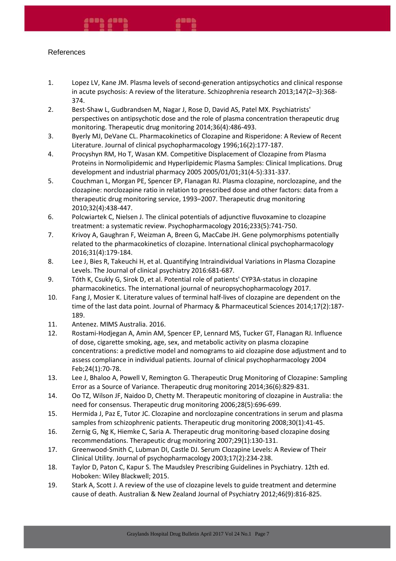#### References

- 1. Lopez LV, Kane JM. Plasma levels of second-generation antipsychotics and clinical response in acute psychosis: A review of the literature. Schizophrenia research 2013;147(2–3):368- 374.
- 2. Best-Shaw L, Gudbrandsen M, Nagar J, Rose D, David AS, Patel MX. Psychiatrists' perspectives on antipsychotic dose and the role of plasma concentration therapeutic drug monitoring. Therapeutic drug monitoring 2014;36(4):486-493.
- 3. Byerly MJ, DeVane CL. Pharmacokinetics of Clozapine and Risperidone: A Review of Recent Literature. Journal of clinical psychopharmacology 1996;16(2):177-187.
- 4. Procyshyn RM, Ho T, Wasan KM. Competitive Displacement of Clozapine from Plasma Proteins in Normolipidemic and Hyperlipidemic Plasma Samples: Clinical Implications. Drug development and industrial pharmacy 2005 2005/01/01;31(4-5):331-337.
- 5. Couchman L, Morgan PE, Spencer EP, Flanagan RJ. Plasma clozapine, norclozapine, and the clozapine: norclozapine ratio in relation to prescribed dose and other factors: data from a therapeutic drug monitoring service, 1993–2007. Therapeutic drug monitoring 2010;32(4):438-447.
- 6. Polcwiartek C, Nielsen J. The clinical potentials of adjunctive fluvoxamine to clozapine treatment: a systematic review. Psychopharmacology 2016;233(5):741-750.
- 7. Krivoy A, Gaughran F, Weizman A, Breen G, MacCabe JH. Gene polymorphisms potentially related to the pharmacokinetics of clozapine. International clinical psychopharmacology 2016;31(4):179-184.
- 8. Lee J, Bies R, Takeuchi H, et al. Quantifying Intraindividual Variations in Plasma Clozapine Levels. The Journal of clinical psychiatry 2016:681-687.
- 9. Tóth K, Csukly G, Sirok D, et al. Potential role of patients' CYP3A-status in clozapine pharmacokinetics. The international journal of neuropsychopharmacology 2017.
- 10. Fang J, Mosier K. Literature values of terminal half-lives of clozapine are dependent on the time of the last data point. Journal of Pharmacy & Pharmaceutical Sciences 2014;17(2):187- 189.
- 11. Antenez. MIMS Australia. 2016.
- 12. Rostami-Hodjegan A, Amin AM, Spencer EP, Lennard MS, Tucker GT, Flanagan RJ. Influence of dose, cigarette smoking, age, sex, and metabolic activity on plasma clozapine concentrations: a predictive model and nomograms to aid clozapine dose adjustment and to assess compliance in individual patients. Journal of clinical psychopharmacology 2004 Feb;24(1):70-78.
- 13. Lee J, Bhaloo A, Powell V, Remington G. Therapeutic Drug Monitoring of Clozapine: Sampling Error as a Source of Variance. Therapeutic drug monitoring 2014;36(6):829-831.
- 14. Oo TZ, Wilson JF, Naidoo D, Chetty M. Therapeutic monitoring of clozapine in Australia: the need for consensus. Therapeutic drug monitoring 2006;28(5):696-699.
- 15. Hermida J, Paz E, Tutor JC. Clozapine and norclozapine concentrations in serum and plasma samples from schizophrenic patients. Therapeutic drug monitoring 2008;30(1):41-45.
- 16. Zernig G, Ng K, Hiemke C, Saria A. Therapeutic drug monitoring-based clozapine dosing recommendations. Therapeutic drug monitoring 2007;29(1):130-131.
- 17. Greenwood-Smith C, Lubman DI, Castle DJ. Serum Clozapine Levels: A Review of Their Clinical Utility. Journal of psychopharmacology 2003;17(2):234-238.
- 18. Taylor D, Paton C, Kapur S. The Maudsley Prescribing Guidelines in Psychiatry. 12th ed. Hoboken: Wiley Blackwell; 2015.
- 19. Stark A, Scott J. A review of the use of clozapine levels to guide treatment and determine cause of death. Australian & New Zealand Journal of Psychiatry 2012;46(9):816-825.